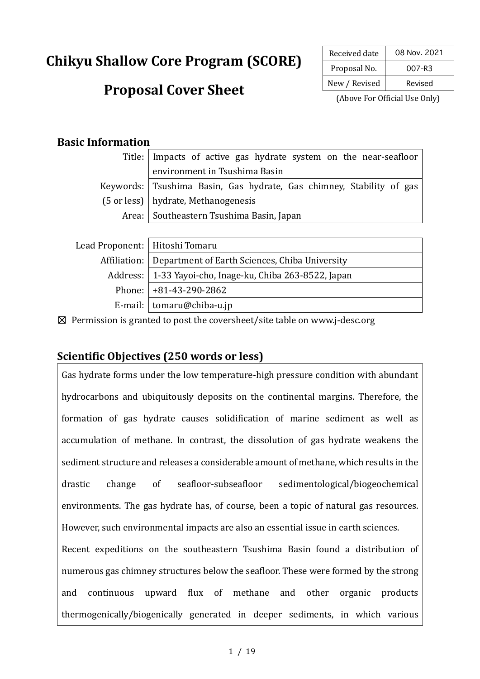# **Chikyu Shallow Core Program (SCORE)**

## **Proposal Cover Sheet**

| Received date | 08 Nov. 2021 |  |  |
|---------------|--------------|--|--|
| Proposal No.  | 007-R3       |  |  |
| New / Revised | Revised      |  |  |

(Above For Official Use Only)

#### **Basic Information**

| Title:   Impacts of active gas hydrate system on the near-seafloor   |  |  |  |
|----------------------------------------------------------------------|--|--|--|
| environment in Tsushima Basin                                        |  |  |  |
| Keywords: Tsushima Basin, Gas hydrate, Gas chimney, Stability of gas |  |  |  |
| (5 or less)   hydrate, Methanogenesis                                |  |  |  |
| Area:   Southeastern Tsushima Basin, Japan                           |  |  |  |
|                                                                      |  |  |  |

| Lead Proponent:   Hitoshi Tomaru |                                                               |  |
|----------------------------------|---------------------------------------------------------------|--|
|                                  | Affiliation:   Department of Earth Sciences, Chiba University |  |
|                                  | Address:   1-33 Yayoi-cho, Inage-ku, Chiba 263-8522, Japan    |  |
|                                  | Phone: $ +81-43-290-2862$                                     |  |
|                                  | E-mail: $\vert$ tomaru@chiba-u.jp                             |  |

☒ Permission is granted to post the coversheet/site table on www.j-desc.org

### **Scientific Objectives (250 words or less)**

Gas hydrate forms under the low temperature-high pressure condition with abundant hydrocarbons and ubiquitously deposits on the continental margins. Therefore, the formation of gas hydrate causes solidification of marine sediment as well as accumulation of methane. In contrast, the dissolution of gas hydrate weakens the sediment structure and releases a considerable amount of methane, which results in the drastic change of seafloor-subseafloor sedimentological/biogeochemical environments. The gas hydrate has, of course, been a topic of natural gas resources. However, such environmental impacts are also an essential issue in earth sciences.

Recent expeditions on the southeastern Tsushima Basin found a distribution of numerous gas chimney structures below the seafloor. These were formed by the strong and continuous upward flux of methane and other organic products thermogenically/biogenically generated in deeper sediments, in which various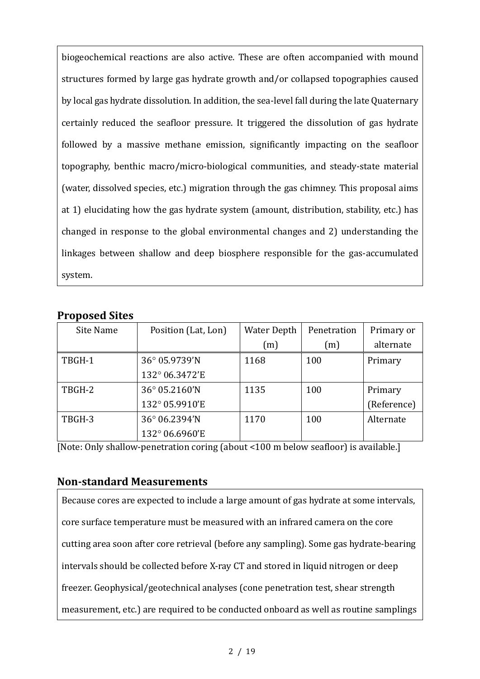biogeochemical reactions are also active. These are often accompanied with mound structures formed by large gas hydrate growth and/or collapsed topographies caused by local gas hydrate dissolution. In addition, the sea-level fall during the late Quaternary certainly reduced the seafloor pressure. It triggered the dissolution of gas hydrate followed by a massive methane emission, significantly impacting on the seafloor topography, benthic macro/micro-biological communities, and steady-state material (water, dissolved species, etc.) migration through the gas chimney. This proposal aims at 1) elucidating how the gas hydrate system (amount, distribution, stability, etc.) has changed in response to the global environmental changes and 2) understanding the linkages between shallow and deep biosphere responsible for the gas-accumulated system.

| Site Name | Position (Lat, Lon) | <b>Water Depth</b> | Penetration | Primary or  |
|-----------|---------------------|--------------------|-------------|-------------|
|           |                     | (m)                | (m)         | alternate   |
| TBGH-1    | 36° 05.9739'N       | 1168               | 100         | Primary     |
|           | 132° 06.3472'E      |                    |             |             |
| TBGH-2    | 36° 05.2160'N       | 1135               | 100         | Primary     |
|           | 132° 05.9910'E      |                    |             | (Reference) |
| TBGH-3    | 36° 06.2394'N       | 1170               | 100         | Alternate   |
|           | 132° 06.6960'E      |                    |             |             |

#### **Proposed Sites**

[Note: Only shallow-penetration coring (about <100 m below seafloor) is available.]

#### **Non‐standard Measurements**

Because cores are expected to include a large amount of gas hydrate at some intervals, core surface temperature must be measured with an infrared camera on the core cutting area soon after core retrieval (before any sampling). Some gas hydrate-bearing intervals should be collected before X-ray CT and stored in liquid nitrogen or deep freezer. Geophysical/geotechnical analyses (cone penetration test, shear strength measurement, etc.) are required to be conducted onboard as well as routine samplings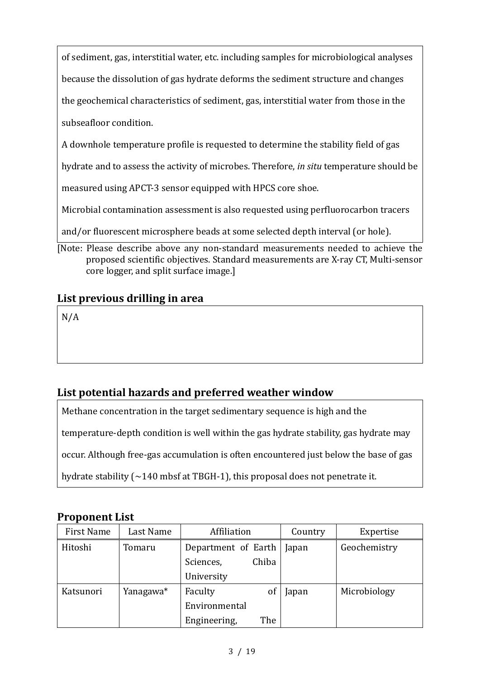of sediment, gas, interstitial water, etc. including samples for microbiological analyses

because the dissolution of gas hydrate deforms the sediment structure and changes

the geochemical characteristics of sediment, gas, interstitial water from those in the

subseafloor condition.

A downhole temperature profile is requested to determine the stability field of gas

hydrate and to assess the activity of microbes. Therefore, *in situ* temperature should be

measured using APCT-3 sensor equipped with HPCS core shoe.

Microbial contamination assessment is also requested using perfluorocarbon tracers

and/or fluorescent microsphere beads at some selected depth interval (or hole).

[Note: Please describe above any non-standard measurements needed to achieve the proposed scientific objectives. Standard measurements are X-ray CT, Multi-sensor core logger, and split surface image.]

## **List previous drilling in area**

N/A

## **List potential hazards and preferred weather window**

Methane concentration in the target sedimentary sequence is high and the

temperature-depth condition is well within the gas hydrate stability, gas hydrate may

occur. Although free-gas accumulation is often encountered just below the base of gas

hydrate stability (~140 mbsf at TBGH-1), this proposal does not penetrate it.

## **Proponent List**

| First Name | Last Name | Affiliation         | Country | Expertise    |
|------------|-----------|---------------------|---------|--------------|
| Hitoshi    | Tomaru    | Department of Earth | Japan   | Geochemistry |
|            |           | Chiba<br>Sciences,  |         |              |
|            |           | University          |         |              |
| Katsunori  | Yanagawa* | Faculty<br>0f       | Japan   | Microbiology |
|            |           | Environmental       |         |              |
|            |           | The<br>Engineering, |         |              |